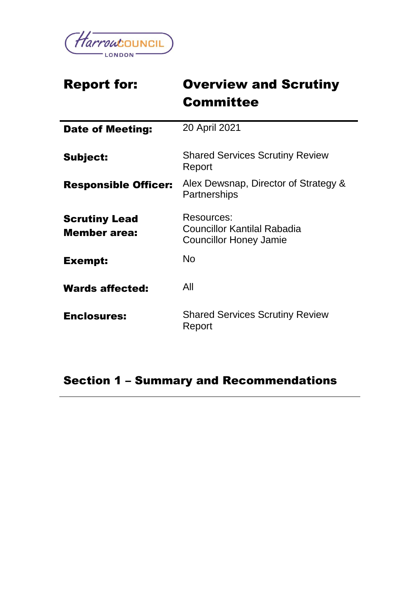

| <b>Report for:</b>                          | <b>Overview and Scrutiny</b><br>Committee                                  |
|---------------------------------------------|----------------------------------------------------------------------------|
|                                             |                                                                            |
| <b>Date of Meeting:</b>                     | 20 April 2021                                                              |
| Subject:                                    | <b>Shared Services Scrutiny Review</b><br>Report                           |
| <b>Responsible Officer:</b>                 | Alex Dewsnap, Director of Strategy &<br>Partnerships                       |
| <b>Scrutiny Lead</b><br><b>Member</b> area: | Resources:<br>Councillor Kantilal Rabadia<br><b>Councillor Honey Jamie</b> |
| Exempt:                                     | Nο                                                                         |
| <b>Wards affected:</b>                      | All                                                                        |
| <b>Enclosures:</b>                          | <b>Shared Services Scrutiny Review</b><br>Report                           |

-

# Section 1 – Summary and Recommendations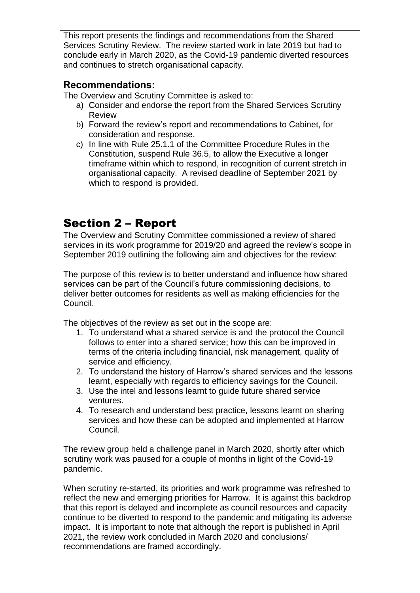This report presents the findings and recommendations from the Shared Services Scrutiny Review. The review started work in late 2019 but had to conclude early in March 2020, as the Covid-19 pandemic diverted resources and continues to stretch organisational capacity.

### **Recommendations:**

The Overview and Scrutiny Committee is asked to:

- a) Consider and endorse the report from the Shared Services Scrutiny Review
- b) Forward the review's report and recommendations to Cabinet, for consideration and response.
- c) In line with Rule 25.1.1 of the Committee Procedure Rules in the Constitution, suspend Rule 36.5, to allow the Executive a longer timeframe within which to respond, in recognition of current stretch in organisational capacity. A revised deadline of September 2021 by which to respond is provided.

# Section 2 – Report

The Overview and Scrutiny Committee commissioned a review of shared services in its work programme for 2019/20 and agreed the review's scope in September 2019 outlining the following aim and objectives for the review:

The purpose of this review is to better understand and influence how shared services can be part of the Council's future commissioning decisions, to deliver better outcomes for residents as well as making efficiencies for the Council.

The objectives of the review as set out in the scope are:

- 1. To understand what a shared service is and the protocol the Council follows to enter into a shared service; how this can be improved in terms of the criteria including financial, risk management, quality of service and efficiency.
- 2. To understand the history of Harrow's shared services and the lessons learnt, especially with regards to efficiency savings for the Council.
- 3. Use the intel and lessons learnt to guide future shared service ventures.
- 4. To research and understand best practice, lessons learnt on sharing services and how these can be adopted and implemented at Harrow Council.

The review group held a challenge panel in March 2020, shortly after which scrutiny work was paused for a couple of months in light of the Covid-19 pandemic.

When scrutiny re-started, its priorities and work programme was refreshed to reflect the new and emerging priorities for Harrow. It is against this backdrop that this report is delayed and incomplete as council resources and capacity continue to be diverted to respond to the pandemic and mitigating its adverse impact. It is important to note that although the report is published in April 2021, the review work concluded in March 2020 and conclusions/ recommendations are framed accordingly.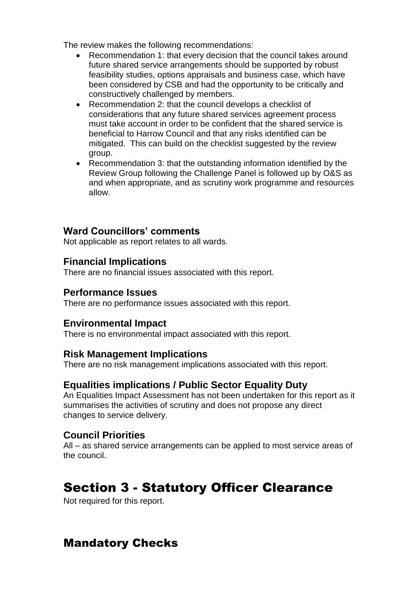The review makes the following recommendations:

- Recommendation 1: that every decision that the council takes around future shared service arrangements should be supported by robust feasibility studies, options appraisals and business case, which have been considered by CSB and had the opportunity to be critically and constructively challenged by members.
- Recommendation 2: that the council develops a checklist of considerations that any future shared services agreement process must take account in order to be confident that the shared service is beneficial to Harrow Council and that any risks identified can be mitigated. This can build on the checklist suggested by the review group.
- Recommendation 3: that the outstanding information identified by the Review Group following the Challenge Panel is followed up by O&S as and when appropriate, and as scrutiny work programme and resources allow.

## **Ward Councillors' comments**

Not applicable as report relates to all wards.

### **Financial Implications**

There are no financial issues associated with this report.

### **Performance Issues**

There are no performance issues associated with this report.

### **Environmental Impact**

There is no environmental impact associated with this report.

## **Risk Management Implications**

There are no risk management implications associated with this report.

### **Equalities implications / Public Sector Equality Duty**

An Equalities Impact Assessment has not been undertaken for this report as it summarises the activities of scrutiny and does not propose any direct changes to service delivery.

### **Council Priorities**

All – as shared service arrangements can be applied to most service areas of the council.

# Section 3 - Statutory Officer Clearance

Not required for this report.

# Mandatory Checks